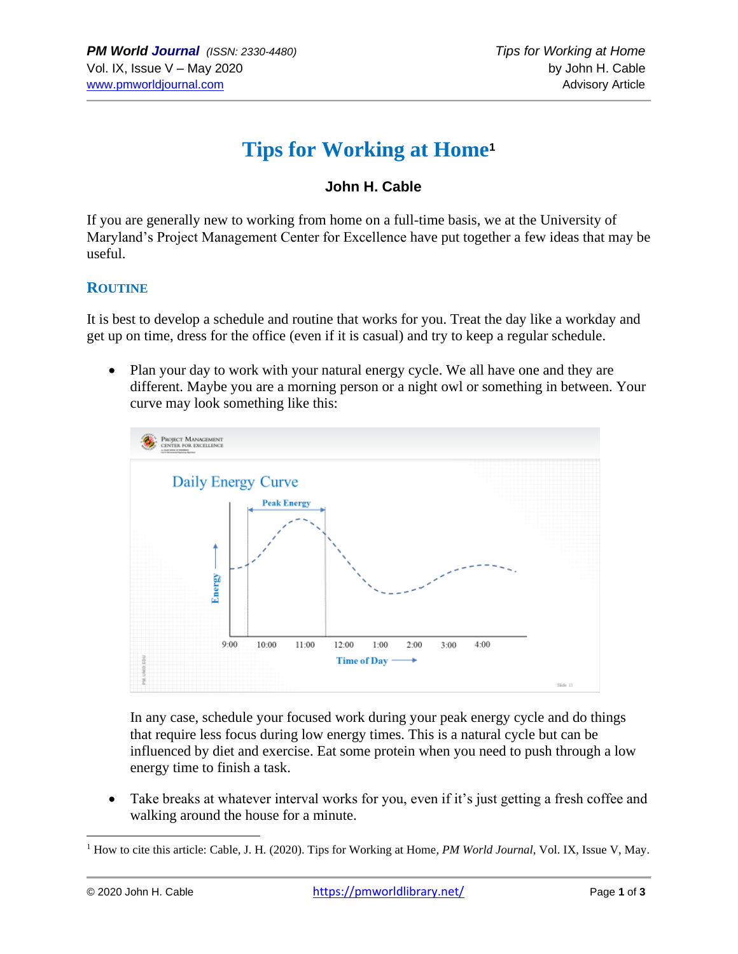# **Tips for Working at Home<sup>1</sup>**

### **John H. Cable**

If you are generally new to working from home on a full-time basis, we at the University of Maryland's Project Management Center for Excellence have put together a few ideas that may be useful.

#### **ROUTINE**

It is best to develop a schedule and routine that works for you. Treat the day like a workday and get up on time, dress for the office (even if it is casual) and try to keep a regular schedule.

• Plan your day to work with your natural energy cycle. We all have one and they are different. Maybe you are a morning person or a night owl or something in between. Your curve may look something like this:



In any case, schedule your focused work during your peak energy cycle and do things that require less focus during low energy times. This is a natural cycle but can be influenced by diet and exercise. Eat some protein when you need to push through a low energy time to finish a task.

• Take breaks at whatever interval works for you, even if it's just getting a fresh coffee and walking around the house for a minute.

<sup>&</sup>lt;sup>1</sup> How to cite this article: Cable, J. H. (2020). Tips for Working at Home, *PM World Journal*, Vol. IX, Issue V, May.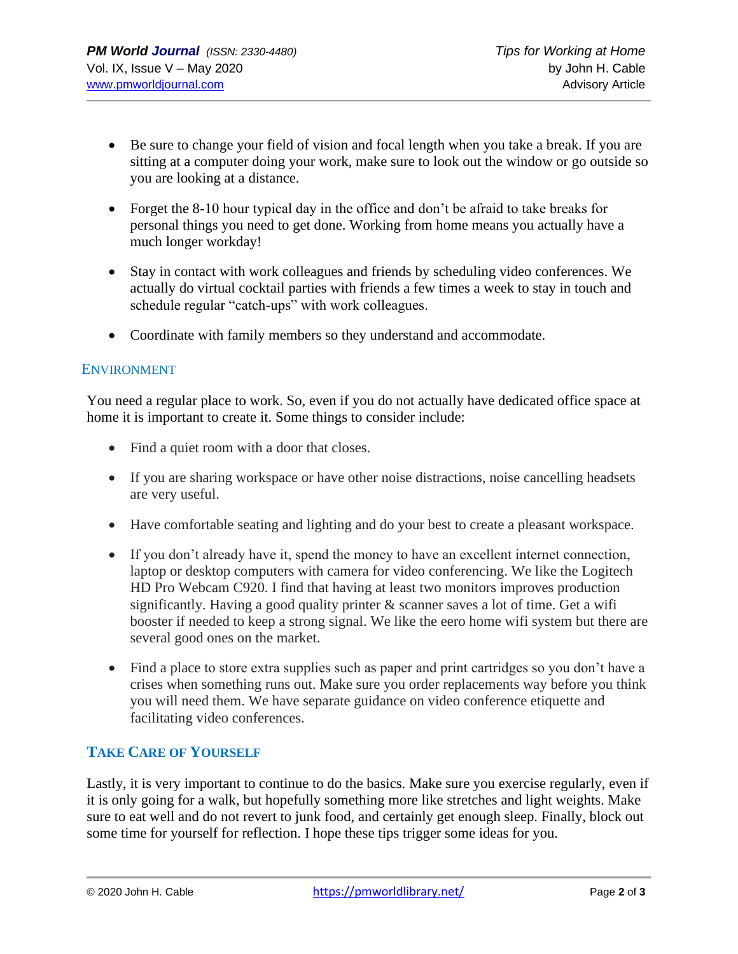- Be sure to change your field of vision and focal length when you take a break. If you are sitting at a computer doing your work, make sure to look out the window or go outside so you are looking at a distance.
- Forget the 8-10 hour typical day in the office and don't be afraid to take breaks for personal things you need to get done. Working from home means you actually have a much longer workday!
- Stay in contact with work colleagues and friends by scheduling video conferences. We actually do virtual cocktail parties with friends a few times a week to stay in touch and schedule regular "catch-ups" with work colleagues.
- Coordinate with family members so they understand and accommodate.

#### ENVIRONMENT

You need a regular place to work. So, even if you do not actually have dedicated office space at home it is important to create it. Some things to consider include:

- Find a quiet room with a door that closes.
- If you are sharing workspace or have other noise distractions, noise cancelling headsets are very useful.
- Have comfortable seating and lighting and do your best to create a pleasant workspace.
- If you don't already have it, spend the money to have an excellent internet connection, laptop or desktop computers with camera for video conferencing. We like the Logitech HD Pro Webcam C920. I find that having at least two monitors improves production significantly. Having a good quality printer & scanner saves a lot of time. Get a wifi booster if needed to keep a strong signal. We like the eero home wifi system but there are several good ones on the market.
- Find a place to store extra supplies such as paper and print cartridges so you don't have a crises when something runs out. Make sure you order replacements way before you think you will need them. We have separate guidance on video conference etiquette and facilitating video conferences.

#### **TAKE CARE OF YOURSELF**

Lastly, it is very important to continue to do the basics. Make sure you exercise regularly, even if it is only going for a walk, but hopefully something more like stretches and light weights. Make sure to eat well and do not revert to junk food, and certainly get enough sleep. Finally, block out some time for yourself for reflection. I hope these tips trigger some ideas for you.